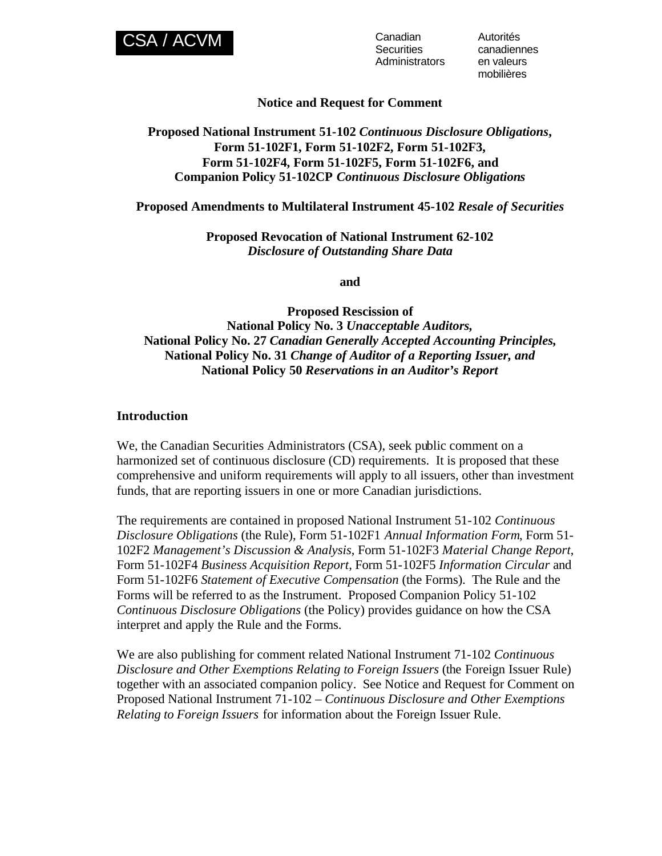

**Securities** Administrators Autorités canadiennes en valeurs mobilières

## **Notice and Request for Comment**

## **Proposed National Instrument 51-102** *Continuous Disclosure Obligations***, Form 51-102F1, Form 51-102F2, Form 51-102F3, Form 51-102F4, Form 51-102F5, Form 51-102F6, and Companion Policy 51-102CP** *Continuous Disclosure Obligations*

#### **Proposed Amendments to Multilateral Instrument 45-102** *Resale of Securities*

**Proposed Revocation of National Instrument 62-102** *Disclosure of Outstanding Share Data*

**and** 

**Proposed Rescission of National Policy No. 3** *Unacceptable Auditors,* **National Policy No. 27** *Canadian Generally Accepted Accounting Principles,* **National Policy No. 31** *Change of Auditor of a Reporting Issuer, and* **National Policy 50** *Reservations in an Auditor's Report*

#### **Introduction**

We, the Canadian Securities Administrators (CSA), seek public comment on a harmonized set of continuous disclosure (CD) requirements. It is proposed that these comprehensive and uniform requirements will apply to all issuers, other than investment funds, that are reporting issuers in one or more Canadian jurisdictions.

The requirements are contained in proposed National Instrument 51-102 *Continuous Disclosure Obligations* (the Rule), Form 51-102F1 *Annual Information Form*, Form 51- 102F2 *Management's Discussion & Analysis*, Form 51-102F3 *Material Change Report*, Form 51-102F4 *Business Acquisition Report*, Form 51-102F5 *Information Circular* and Form 51-102F6 *Statement of Executive Compensation* (the Forms). The Rule and the Forms will be referred to as the Instrument. Proposed Companion Policy 51-102 *Continuous Disclosure Obligations* (the Policy) provides guidance on how the CSA interpret and apply the Rule and the Forms.

We are also publishing for comment related National Instrument 71-102 *Continuous Disclosure and Other Exemptions Relating to Foreign Issuers* (the Foreign Issuer Rule) together with an associated companion policy. See Notice and Request for Comment on Proposed National Instrument 71-102 – *Continuous Disclosure and Other Exemptions Relating to Foreign Issuers* for information about the Foreign Issuer Rule.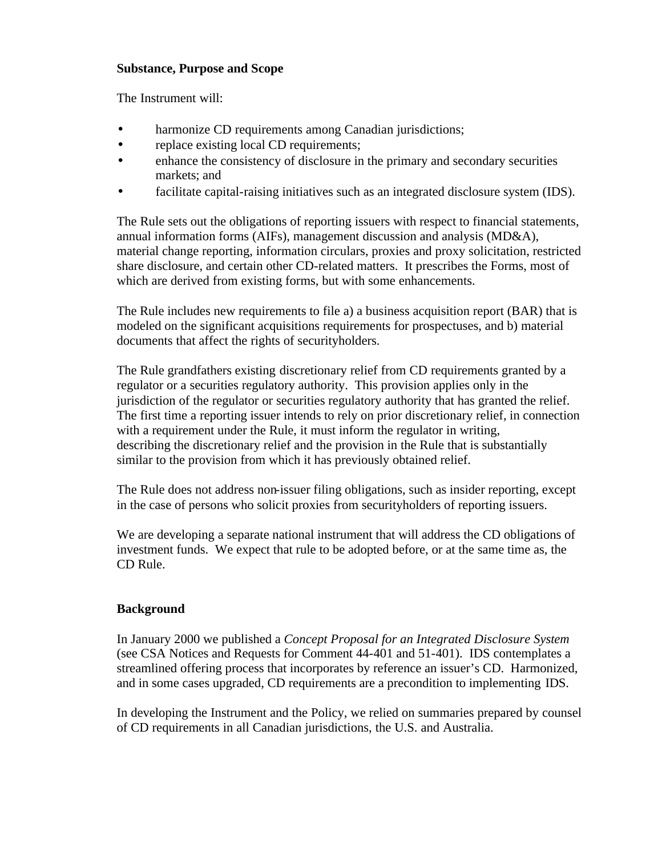## **Substance, Purpose and Scope**

The Instrument will:

- harmonize CD requirements among Canadian jurisdictions;
- replace existing local CD requirements;
- enhance the consistency of disclosure in the primary and secondary securities markets; and
- facilitate capital-raising initiatives such as an integrated disclosure system (IDS).

The Rule sets out the obligations of reporting issuers with respect to financial statements, annual information forms (AIFs), management discussion and analysis (MD&A), material change reporting, information circulars, proxies and proxy solicitation, restricted share disclosure, and certain other CD-related matters. It prescribes the Forms, most of which are derived from existing forms, but with some enhancements.

The Rule includes new requirements to file a) a business acquisition report (BAR) that is modeled on the significant acquisitions requirements for prospectuses, and b) material documents that affect the rights of securityholders.

The Rule grandfathers existing discretionary relief from CD requirements granted by a regulator or a securities regulatory authority. This provision applies only in the jurisdiction of the regulator or securities regulatory authority that has granted the relief. The first time a reporting issuer intends to rely on prior discretionary relief, in connection with a requirement under the Rule, it must inform the regulator in writing, describing the discretionary relief and the provision in the Rule that is substantially similar to the provision from which it has previously obtained relief.

The Rule does not address non-issuer filing obligations, such as insider reporting, except in the case of persons who solicit proxies from securityholders of reporting issuers.

We are developing a separate national instrument that will address the CD obligations of investment funds. We expect that rule to be adopted before, or at the same time as, the CD Rule.

## **Background**

In January 2000 we published a *Concept Proposal for an Integrated Disclosure System*  (see CSA Notices and Requests for Comment 44-401 and 51-401). IDS contemplates a streamlined offering process that incorporates by reference an issuer's CD. Harmonized, and in some cases upgraded, CD requirements are a precondition to implementing IDS.

In developing the Instrument and the Policy, we relied on summaries prepared by counsel of CD requirements in all Canadian jurisdictions, the U.S. and Australia.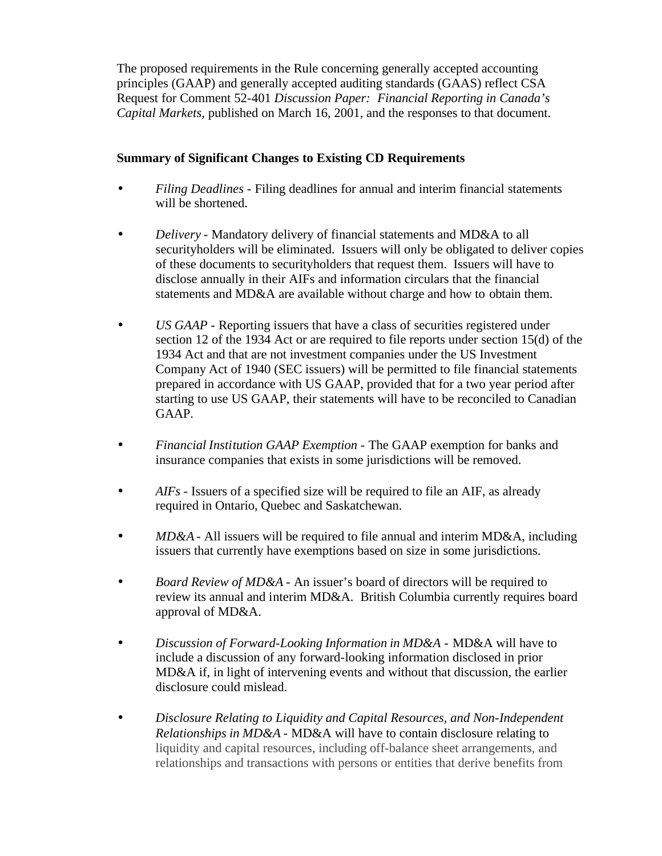The proposed requirements in the Rule concerning generally accepted accounting principles (GAAP) and generally accepted auditing standards (GAAS) reflect CSA Request for Comment 52-401 *Discussion Paper: Financial Reporting in Canada's Capital Markets,* published on March 16, 2001, and the responses to that document.

# **Summary of Significant Changes to Existing CD Requirements**

- *Filing Deadlines*  Filing deadlines for annual and interim financial statements will be shortened.
- *Delivery*  Mandatory delivery of financial statements and MD&A to all securityholders will be eliminated. Issuers will only be obligated to deliver copies of these documents to securityholders that request them. Issuers will have to disclose annually in their AIFs and information circulars that the financial statements and MD&A are available without charge and how to obtain them.
- *US GAAP* Reporting issuers that have a class of securities registered under section 12 of the 1934 Act or are required to file reports under section 15(d) of the 1934 Act and that are not investment companies under the US Investment Company Act of 1940 (SEC issuers) will be permitted to file financial statements prepared in accordance with US GAAP, provided that for a two year period after starting to use US GAAP, their statements will have to be reconciled to Canadian GAAP.
- *Financial Institution GAAP Exemption* The GAAP exemption for banks and insurance companies that exists in some jurisdictions will be removed.
- *AIFs* Issuers of a specified size will be required to file an AIF, as already required in Ontario, Quebec and Saskatchewan.
- *MD&A* All issuers will be required to file annual and interim MD&A, including issuers that currently have exemptions based on size in some jurisdictions.
- *Board Review of MD&A* An issuer's board of directors will be required to review its annual and interim MD&A. British Columbia currently requires board approval of MD&A.
- *Discussion of Forward-Looking Information in MD&A*  MD&A will have to include a discussion of any forward-looking information disclosed in prior MD&A if, in light of intervening events and without that discussion, the earlier disclosure could mislead.
- *Disclosure Relating to Liquidity and Capital Resources, and Non-Independent Relationships in MD&A* - MD&A will have to contain disclosure relating to liquidity and capital resources, including off-balance sheet arrangements, and relationships and transactions with persons or entities that derive benefits from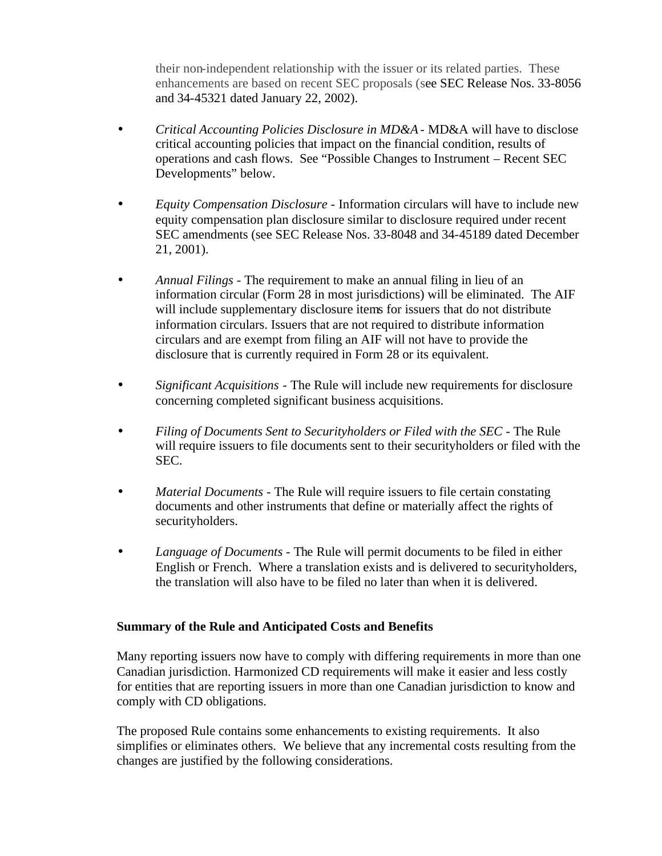their non-independent relationship with the issuer or its related parties. These enhancements are based on recent SEC proposals (see SEC Release Nos. 33-8056 and 34-45321 dated January 22, 2002).

- *Critical Accounting Policies Disclosure in MD&A* MD&A will have to disclose critical accounting policies that impact on the financial condition, results of operations and cash flows. See "Possible Changes to Instrument – Recent SEC Developments" below.
- *Equity Compensation Disclosure* Information circulars will have to include new equity compensation plan disclosure similar to disclosure required under recent SEC amendments (see SEC Release Nos. 33-8048 and 34-45189 dated December 21, 2001).
- *Annual Filings* The requirement to make an annual filing in lieu of an information circular (Form 28 in most jurisdictions) will be eliminated. The AIF will include supplementary disclosure items for issuers that do not distribute information circulars. Issuers that are not required to distribute information circulars and are exempt from filing an AIF will not have to provide the disclosure that is currently required in Form 28 or its equivalent.
- *Significant Acquisitions* The Rule will include new requirements for disclosure concerning completed significant business acquisitions.
- *Filing of Documents Sent to Securityholders or Filed with the SEC* The Rule will require issuers to file documents sent to their securityholders or filed with the SEC.
- *Material Documents* The Rule will require issuers to file certain constating documents and other instruments that define or materially affect the rights of securityholders.
- *Language of Documents* The Rule will permit documents to be filed in either English or French. Where a translation exists and is delivered to securityholders, the translation will also have to be filed no later than when it is delivered.

# **Summary of the Rule and Anticipated Costs and Benefits**

Many reporting issuers now have to comply with differing requirements in more than one Canadian jurisdiction. Harmonized CD requirements will make it easier and less costly for entities that are reporting issuers in more than one Canadian jurisdiction to know and comply with CD obligations.

The proposed Rule contains some enhancements to existing requirements. It also simplifies or eliminates others. We believe that any incremental costs resulting from the changes are justified by the following considerations.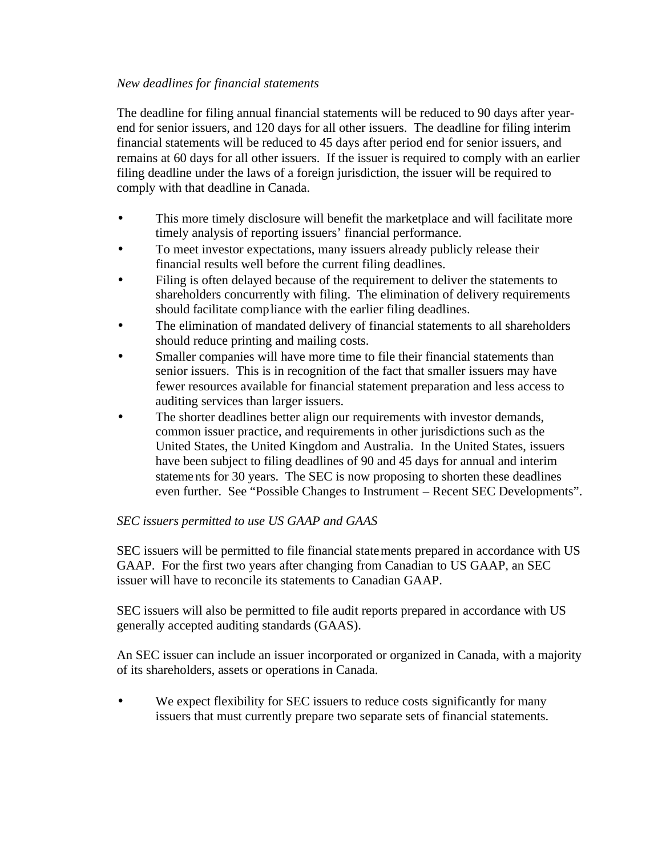## *New deadlines for financial statements*

The deadline for filing annual financial statements will be reduced to 90 days after yearend for senior issuers, and 120 days for all other issuers. The deadline for filing interim financial statements will be reduced to 45 days after period end for senior issuers, and remains at 60 days for all other issuers. If the issuer is required to comply with an earlier filing deadline under the laws of a foreign jurisdiction, the issuer will be required to comply with that deadline in Canada.

- This more timely disclosure will benefit the marketplace and will facilitate more timely analysis of reporting issuers' financial performance.
- To meet investor expectations, many issuers already publicly release their financial results well before the current filing deadlines.
- Filing is often delayed because of the requirement to deliver the statements to shareholders concurrently with filing. The elimination of delivery requirements should facilitate compliance with the earlier filing deadlines.
- The elimination of mandated delivery of financial statements to all shareholders should reduce printing and mailing costs.
- Smaller companies will have more time to file their financial statements than senior issuers. This is in recognition of the fact that smaller issuers may have fewer resources available for financial statement preparation and less access to auditing services than larger issuers.
- The shorter deadlines better align our requirements with investor demands, common issuer practice, and requirements in other jurisdictions such as the United States, the United Kingdom and Australia. In the United States, issuers have been subject to filing deadlines of 90 and 45 days for annual and interim stateme nts for 30 years. The SEC is now proposing to shorten these deadlines even further. See "Possible Changes to Instrument – Recent SEC Developments".

# *SEC issuers permitted to use US GAAP and GAAS*

SEC issuers will be permitted to file financial statements prepared in accordance with US GAAP. For the first two years after changing from Canadian to US GAAP, an SEC issuer will have to reconcile its statements to Canadian GAAP.

SEC issuers will also be permitted to file audit reports prepared in accordance with US generally accepted auditing standards (GAAS).

An SEC issuer can include an issuer incorporated or organized in Canada, with a majority of its shareholders, assets or operations in Canada.

We expect flexibility for SEC issuers to reduce costs significantly for many issuers that must currently prepare two separate sets of financial statements.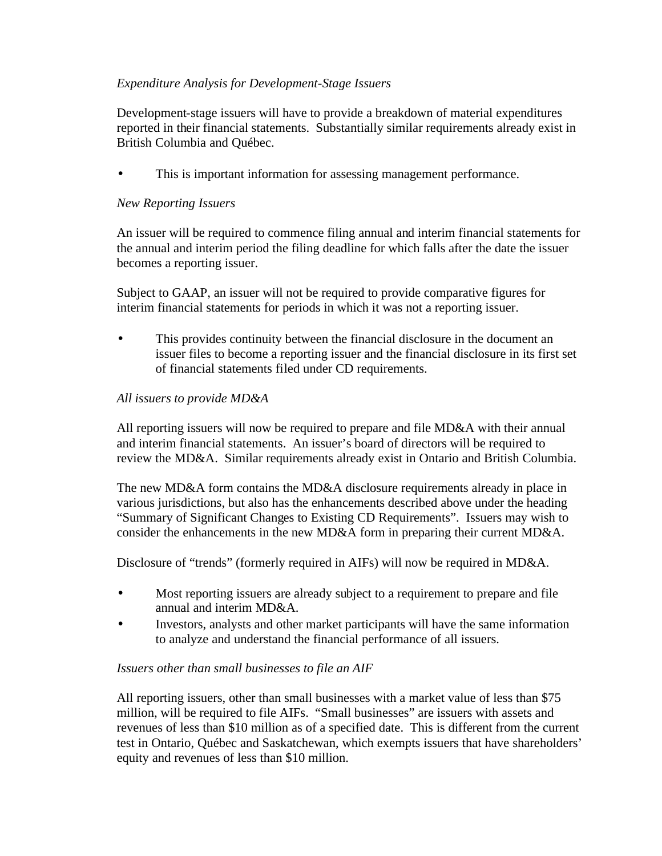# *Expenditure Analysis for Development-Stage Issuers*

Development-stage issuers will have to provide a breakdown of material expenditures reported in their financial statements. Substantially similar requirements already exist in British Columbia and Québec.

This is important information for assessing management performance.

# *New Reporting Issuers*

An issuer will be required to commence filing annual and interim financial statements for the annual and interim period the filing deadline for which falls after the date the issuer becomes a reporting issuer.

Subject to GAAP, an issuer will not be required to provide comparative figures for interim financial statements for periods in which it was not a reporting issuer.

• This provides continuity between the financial disclosure in the document an issuer files to become a reporting issuer and the financial disclosure in its first set of financial statements filed under CD requirements.

## *All issuers to provide MD&A*

All reporting issuers will now be required to prepare and file MD&A with their annual and interim financial statements. An issuer's board of directors will be required to review the MD&A. Similar requirements already exist in Ontario and British Columbia.

The new MD&A form contains the MD&A disclosure requirements already in place in various jurisdictions, but also has the enhancements described above under the heading "Summary of Significant Changes to Existing CD Requirements". Issuers may wish to consider the enhancements in the new MD&A form in preparing their current MD&A.

Disclosure of "trends" (formerly required in AIFs) will now be required in MD&A.

- Most reporting issuers are already subject to a requirement to prepare and file annual and interim MD&A.
- Investors, analysts and other market participants will have the same information to analyze and understand the financial performance of all issuers.

# *Issuers other than small businesses to file an AIF*

All reporting issuers, other than small businesses with a market value of less than \$75 million, will be required to file AIFs. "Small businesses" are issuers with assets and revenues of less than \$10 million as of a specified date. This is different from the current test in Ontario, Québec and Saskatchewan, which exempts issuers that have shareholders' equity and revenues of less than \$10 million.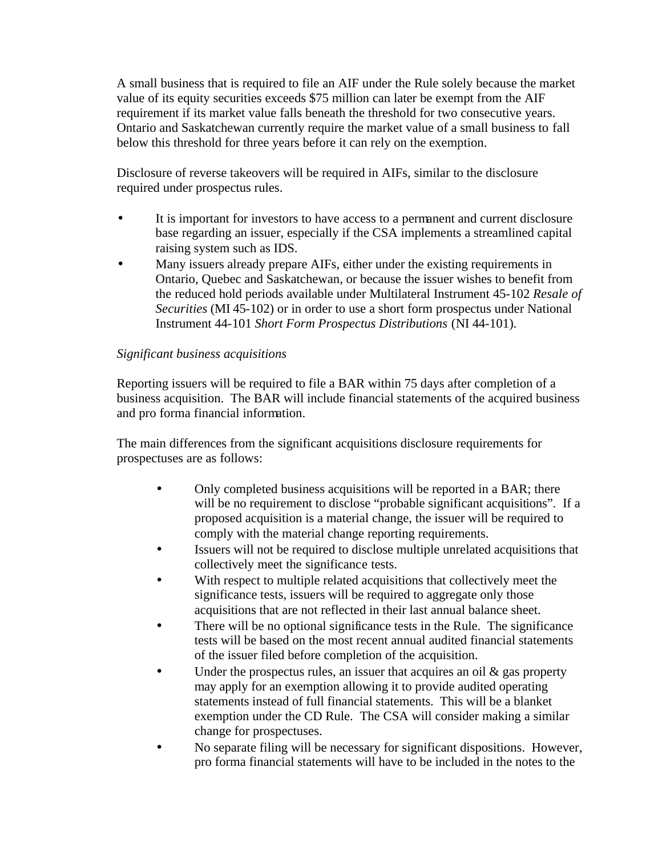A small business that is required to file an AIF under the Rule solely because the market value of its equity securities exceeds \$75 million can later be exempt from the AIF requirement if its market value falls beneath the threshold for two consecutive years. Ontario and Saskatchewan currently require the market value of a small business to fall below this threshold for three years before it can rely on the exemption.

Disclosure of reverse takeovers will be required in AIFs, similar to the disclosure required under prospectus rules.

- It is important for investors to have access to a permanent and current disclosure base regarding an issuer, especially if the CSA implements a streamlined capital raising system such as IDS.
- Many issuers already prepare AIFs, either under the existing requirements in Ontario, Quebec and Saskatchewan, or because the issuer wishes to benefit from the reduced hold periods available under Multilateral Instrument 45-102 *Resale of Securities* (MI 45-102) or in order to use a short form prospectus under National Instrument 44-101 *Short Form Prospectus Distributions* (NI 44-101)*.*

# *Significant business acquisitions*

Reporting issuers will be required to file a BAR within 75 days after completion of a business acquisition. The BAR will include financial statements of the acquired business and pro forma financial information.

The main differences from the significant acquisitions disclosure requirements for prospectuses are as follows:

- Only completed business acquisitions will be reported in a BAR; there will be no requirement to disclose "probable significant acquisitions". If a proposed acquisition is a material change, the issuer will be required to comply with the material change reporting requirements.
- Issuers will not be required to disclose multiple unrelated acquisitions that collectively meet the significance tests.
- With respect to multiple related acquisitions that collectively meet the significance tests, issuers will be required to aggregate only those acquisitions that are not reflected in their last annual balance sheet.
- There will be no optional significance tests in the Rule. The significance tests will be based on the most recent annual audited financial statements of the issuer filed before completion of the acquisition.
- Under the prospectus rules, an issuer that acquires an oil  $\&$  gas property may apply for an exemption allowing it to provide audited operating statements instead of full financial statements. This will be a blanket exemption under the CD Rule. The CSA will consider making a similar change for prospectuses.
- No separate filing will be necessary for significant dispositions. However, pro forma financial statements will have to be included in the notes to the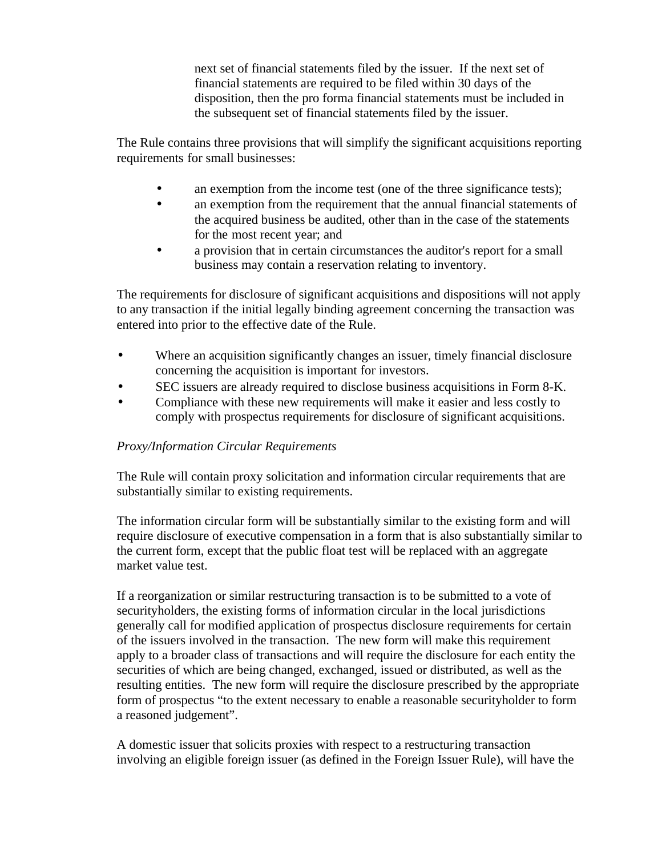next set of financial statements filed by the issuer. If the next set of financial statements are required to be filed within 30 days of the disposition, then the pro forma financial statements must be included in the subsequent set of financial statements filed by the issuer.

The Rule contains three provisions that will simplify the significant acquisitions reporting requirements for small businesses:

- an exemption from the income test (one of the three significance tests);
- an exemption from the requirement that the annual financial statements of the acquired business be audited, other than in the case of the statements for the most recent year; and
- a provision that in certain circumstances the auditor's report for a small business may contain a reservation relating to inventory.

The requirements for disclosure of significant acquisitions and dispositions will not apply to any transaction if the initial legally binding agreement concerning the transaction was entered into prior to the effective date of the Rule.

- Where an acquisition significantly changes an issuer, timely financial disclosure concerning the acquisition is important for investors.
- SEC issuers are already required to disclose business acquisitions in Form 8-K.
- Compliance with these new requirements will make it easier and less costly to comply with prospectus requirements for disclosure of significant acquisitions.

## *Proxy/Information Circular Requirements*

The Rule will contain proxy solicitation and information circular requirements that are substantially similar to existing requirements.

The information circular form will be substantially similar to the existing form and will require disclosure of executive compensation in a form that is also substantially similar to the current form, except that the public float test will be replaced with an aggregate market value test.

If a reorganization or similar restructuring transaction is to be submitted to a vote of securityholders, the existing forms of information circular in the local jurisdictions generally call for modified application of prospectus disclosure requirements for certain of the issuers involved in the transaction. The new form will make this requirement apply to a broader class of transactions and will require the disclosure for each entity the securities of which are being changed, exchanged, issued or distributed, as well as the resulting entities. The new form will require the disclosure prescribed by the appropriate form of prospectus "to the extent necessary to enable a reasonable securityholder to form a reasoned judgement".

A domestic issuer that solicits proxies with respect to a restructuring transaction involving an eligible foreign issuer (as defined in the Foreign Issuer Rule), will have the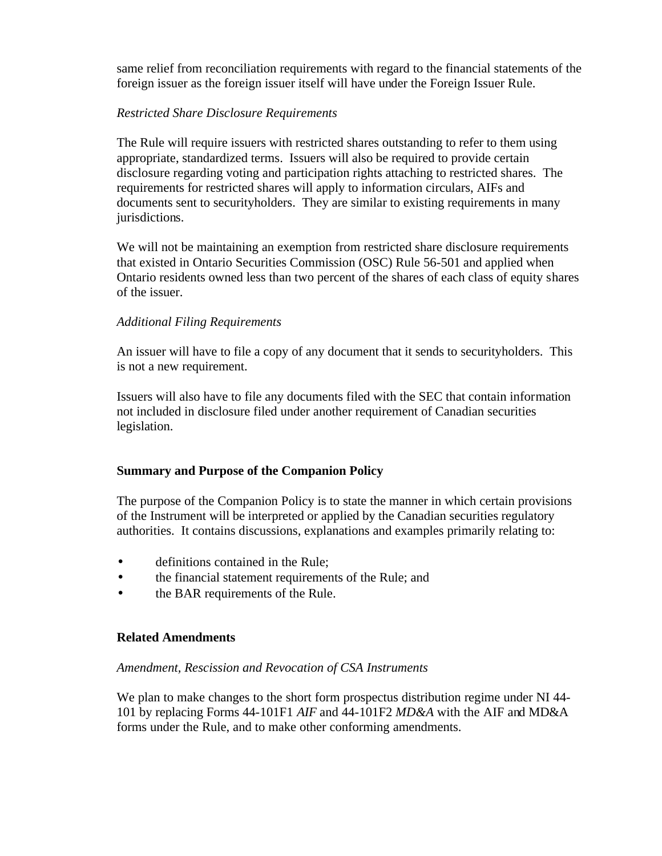same relief from reconciliation requirements with regard to the financial statements of the foreign issuer as the foreign issuer itself will have under the Foreign Issuer Rule.

## *Restricted Share Disclosure Requirements*

The Rule will require issuers with restricted shares outstanding to refer to them using appropriate, standardized terms. Issuers will also be required to provide certain disclosure regarding voting and participation rights attaching to restricted shares. The requirements for restricted shares will apply to information circulars, AIFs and documents sent to securityholders. They are similar to existing requirements in many jurisdictions.

We will not be maintaining an exemption from restricted share disclosure requirements that existed in Ontario Securities Commission (OSC) Rule 56-501 and applied when Ontario residents owned less than two percent of the shares of each class of equity shares of the issuer.

## *Additional Filing Requirements*

An issuer will have to file a copy of any document that it sends to securityholders. This is not a new requirement.

Issuers will also have to file any documents filed with the SEC that contain information not included in disclosure filed under another requirement of Canadian securities legislation.

## **Summary and Purpose of the Companion Policy**

The purpose of the Companion Policy is to state the manner in which certain provisions of the Instrument will be interpreted or applied by the Canadian securities regulatory authorities. It contains discussions, explanations and examples primarily relating to:

- definitions contained in the Rule;
- the financial statement requirements of the Rule; and
- the BAR requirements of the Rule.

## **Related Amendments**

## *Amendment, Rescission and Revocation of CSA Instruments*

We plan to make changes to the short form prospectus distribution regime under NI 44- 101 by replacing Forms 44-101F1 *AIF* and 44-101F2 *MD&A* with the AIF and MD&A forms under the Rule, and to make other conforming amendments.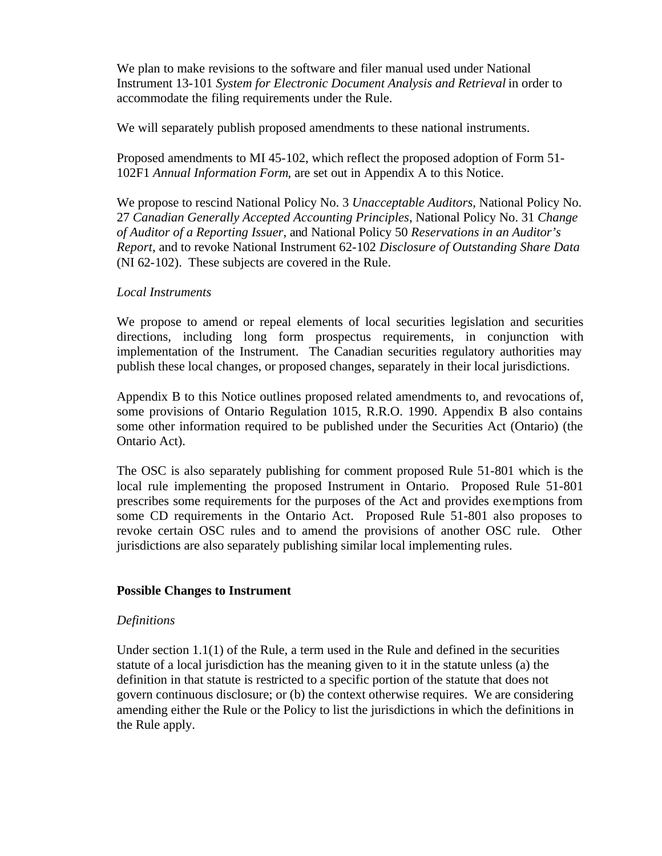We plan to make revisions to the software and filer manual used under National Instrument 13-101 System for Electronic Document Analysis and Retrieval in order to accommodate the filing requirements under the Rule.

We will separately publish proposed amendments to these national instruments.

Proposed amendments to MI 45-102, which reflect the proposed adoption of Form 51- 102F1 *Annual Information Form*, are set out in Appendix A to this Notice.

We propose to rescind National Policy No. 3 *Unacceptable Auditors*, National Policy No. 27 *Canadian Generally Accepted Accounting Principles*, National Policy No. 31 *Change of Auditor of a Reporting Issuer*, and National Policy 50 *Reservations in an Auditor's Report*, and to revoke National Instrument 62-102 *Disclosure of Outstanding Share Data*  (NI 62-102). These subjects are covered in the Rule.

#### *Local Instruments*

We propose to amend or repeal elements of local securities legislation and securities directions, including long form prospectus requirements, in conjunction with implementation of the Instrument. The Canadian securities regulatory authorities may publish these local changes, or proposed changes, separately in their local jurisdictions.

Appendix B to this Notice outlines proposed related amendments to, and revocations of, some provisions of Ontario Regulation 1015, R.R.O. 1990. Appendix B also contains some other information required to be published under the Securities Act (Ontario) (the Ontario Act).

The OSC is also separately publishing for comment proposed Rule 51-801 which is the local rule implementing the proposed Instrument in Ontario. Proposed Rule 51-801 prescribes some requirements for the purposes of the Act and provides exemptions from some CD requirements in the Ontario Act. Proposed Rule 51-801 also proposes to revoke certain OSC rules and to amend the provisions of another OSC rule. Other jurisdictions are also separately publishing similar local implementing rules.

## **Possible Changes to Instrument**

#### *Definitions*

Under section  $1.1(1)$  of the Rule, a term used in the Rule and defined in the securities statute of a local jurisdiction has the meaning given to it in the statute unless (a) the definition in that statute is restricted to a specific portion of the statute that does not govern continuous disclosure; or (b) the context otherwise requires. We are considering amending either the Rule or the Policy to list the jurisdictions in which the definitions in the Rule apply.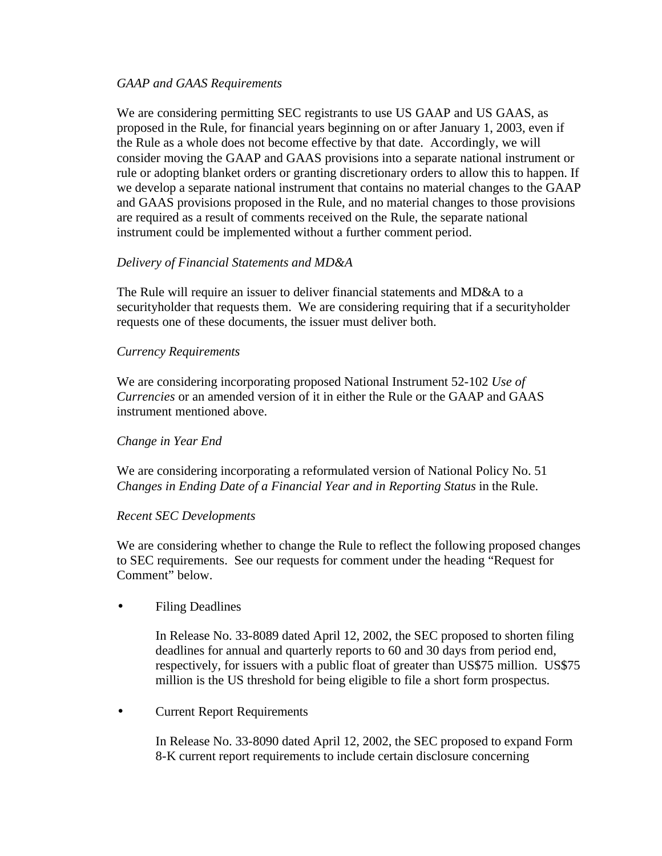## *GAAP and GAAS Requirements*

We are considering permitting SEC registrants to use US GAAP and US GAAS, as proposed in the Rule, for financial years beginning on or after January 1, 2003, even if the Rule as a whole does not become effective by that date. Accordingly, we will consider moving the GAAP and GAAS provisions into a separate national instrument or rule or adopting blanket orders or granting discretionary orders to allow this to happen. If we develop a separate national instrument that contains no material changes to the GAAP and GAAS provisions proposed in the Rule, and no material changes to those provisions are required as a result of comments received on the Rule, the separate national instrument could be implemented without a further comment period.

## *Delivery of Financial Statements and MD&A*

The Rule will require an issuer to deliver financial statements and MD&A to a securityholder that requests them. We are considering requiring that if a securityholder requests one of these documents, the issuer must deliver both.

## *Currency Requirements*

We are considering incorporating proposed National Instrument 52-102 *Use of Currencies* or an amended version of it in either the Rule or the GAAP and GAAS instrument mentioned above.

## *Change in Year End*

We are considering incorporating a reformulated version of National Policy No. 51 *Changes in Ending Date of a Financial Year and in Reporting Status* in the Rule.

## *Recent SEC Developments*

We are considering whether to change the Rule to reflect the following proposed changes to SEC requirements. See our requests for comment under the heading "Request for Comment" below.

• Filing Deadlines

In Release No. 33-8089 dated April 12, 2002, the SEC proposed to shorten filing deadlines for annual and quarterly reports to 60 and 30 days from period end, respectively, for issuers with a public float of greater than US\$75 million. US\$75 million is the US threshold for being eligible to file a short form prospectus.

• Current Report Requirements

In Release No. 33-8090 dated April 12, 2002, the SEC proposed to expand Form 8-K current report requirements to include certain disclosure concerning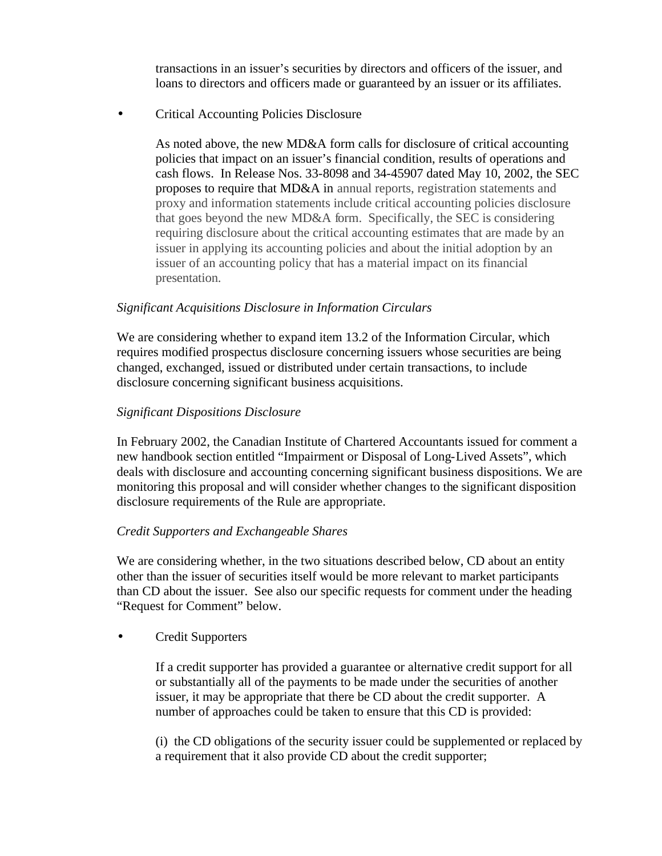transactions in an issuer's securities by directors and officers of the issuer, and loans to directors and officers made or guaranteed by an issuer or its affiliates.

• Critical Accounting Policies Disclosure

As noted above, the new MD&A form calls for disclosure of critical accounting policies that impact on an issuer's financial condition, results of operations and cash flows. In Release Nos. 33-8098 and 34-45907 dated May 10, 2002, the SEC proposes to require that MD&A in annual reports, registration statements and proxy and information statements include critical accounting policies disclosure that goes beyond the new MD&A form. Specifically, the SEC is considering requiring disclosure about the critical accounting estimates that are made by an issuer in applying its accounting policies and about the initial adoption by an issuer of an accounting policy that has a material impact on its financial presentation.

## *Significant Acquisitions Disclosure in Information Circulars*

We are considering whether to expand item 13.2 of the Information Circular, which requires modified prospectus disclosure concerning issuers whose securities are being changed, exchanged, issued or distributed under certain transactions, to include disclosure concerning significant business acquisitions.

# *Significant Dispositions Disclosure*

In February 2002, the Canadian Institute of Chartered Accountants issued for comment a new handbook section entitled "Impairment or Disposal of Long-Lived Assets", which deals with disclosure and accounting concerning significant business dispositions. We are monitoring this proposal and will consider whether changes to the significant disposition disclosure requirements of the Rule are appropriate.

# *Credit Supporters and Exchangeable Shares*

We are considering whether, in the two situations described below, CD about an entity other than the issuer of securities itself would be more relevant to market participants than CD about the issuer.See also our specific requests for comment under the heading "Request for Comment" below.

• Credit Supporters

If a credit supporter has provided a guarantee or alternative credit support for all or substantially all of the payments to be made under the securities of another issuer, it may be appropriate that there be CD about the credit supporter. A number of approaches could be taken to ensure that this CD is provided:

(i) the CD obligations of the security issuer could be supplemented or replaced by a requirement that it also provide CD about the credit supporter;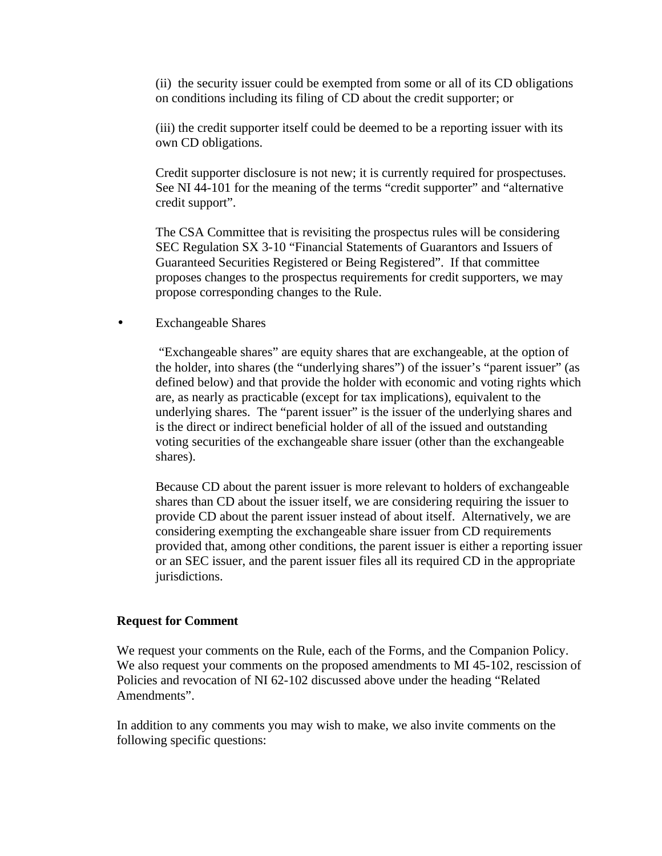(ii) the security issuer could be exempted from some or all of its CD obligations on conditions including its filing of CD about the credit supporter; or

(iii) the credit supporter itself could be deemed to be a reporting issuer with its own CD obligations.

Credit supporter disclosure is not new; it is currently required for prospectuses. See NI 44-101 for the meaning of the terms "credit supporter" and "alternative credit support".

The CSA Committee that is revisiting the prospectus rules will be considering SEC Regulation SX 3-10 "Financial Statements of Guarantors and Issuers of Guaranteed Securities Registered or Being Registered". If that committee proposes changes to the prospectus requirements for credit supporters, we may propose corresponding changes to the Rule.

• Exchangeable Shares

 "Exchangeable shares" are equity shares that are exchangeable, at the option of the holder, into shares (the "underlying shares") of the issuer's "parent issuer" (as defined below) and that provide the holder with economic and voting rights which are, as nearly as practicable (except for tax implications), equivalent to the underlying shares. The "parent issuer" is the issuer of the underlying shares and is the direct or indirect beneficial holder of all of the issued and outstanding voting securities of the exchangeable share issuer (other than the exchangeable shares).

Because CD about the parent issuer is more relevant to holders of exchangeable shares than CD about the issuer itself, we are considering requiring the issuer to provide CD about the parent issuer instead of about itself. Alternatively, we are considering exempting the exchangeable share issuer from CD requirements provided that, among other conditions, the parent issuer is either a reporting issuer or an SEC issuer, and the parent issuer files all its required CD in the appropriate jurisdictions.

#### **Request for Comment**

We request your comments on the Rule, each of the Forms, and the Companion Policy. We also request your comments on the proposed amendments to MI 45-102, rescission of Policies and revocation of NI 62-102 discussed above under the heading "Related Amendments".

In addition to any comments you may wish to make, we also invite comments on the following specific questions: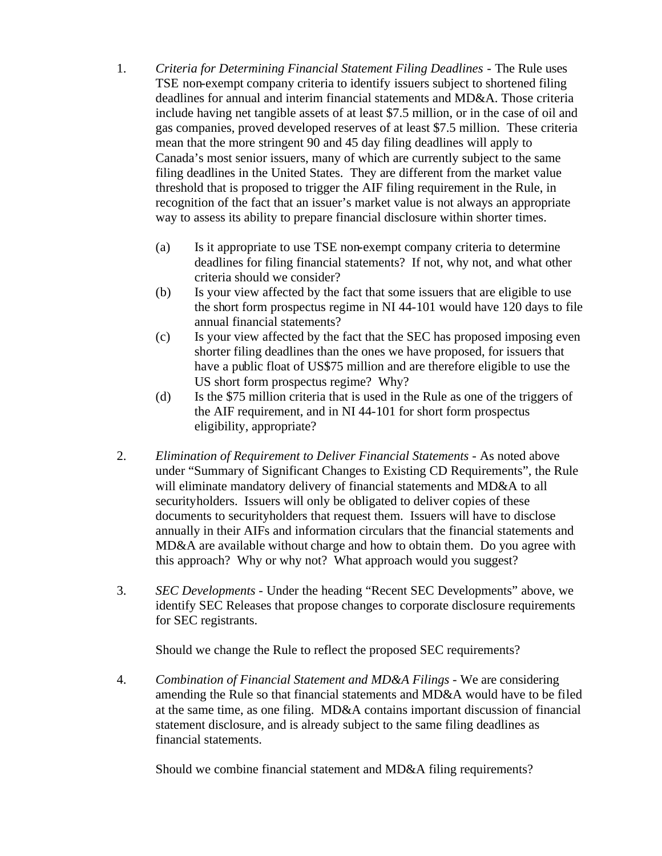- 1. *Criteria for Determining Financial Statement Filing Deadlines* The Rule uses TSE non-exempt company criteria to identify issuers subject to shortened filing deadlines for annual and interim financial statements and MD&A. Those criteria include having net tangible assets of at least \$7.5 million, or in the case of oil and gas companies, proved developed reserves of at least \$7.5 million. These criteria mean that the more stringent 90 and 45 day filing deadlines will apply to Canada's most senior issuers, many of which are currently subject to the same filing deadlines in the United States. They are different from the market value threshold that is proposed to trigger the AIF filing requirement in the Rule, in recognition of the fact that an issuer's market value is not always an appropriate way to assess its ability to prepare financial disclosure within shorter times.
	- (a) Is it appropriate to use TSE non-exempt company criteria to determine deadlines for filing financial statements? If not, why not, and what other criteria should we consider?
	- (b) Is your view affected by the fact that some issuers that are eligible to use the short form prospectus regime in NI 44-101 would have 120 days to file annual financial statements?
	- (c) Is your view affected by the fact that the SEC has proposed imposing even shorter filing deadlines than the ones we have proposed, for issuers that have a public float of US\$75 million and are therefore eligible to use the US short form prospectus regime? Why?
	- (d) Is the \$75 million criteria that is used in the Rule as one of the triggers of the AIF requirement, and in NI 44-101 for short form prospectus eligibility, appropriate?
- 2. *Elimination of Requirement to Deliver Financial Statements* As noted above under "Summary of Significant Changes to Existing CD Requirements", the Rule will eliminate mandatory delivery of financial statements and MD&A to all securityholders. Issuers will only be obligated to deliver copies of these documents to securityholders that request them. Issuers will have to disclose annually in their AIFs and information circulars that the financial statements and MD&A are available without charge and how to obtain them. Do you agree with this approach? Why or why not? What approach would you suggest?
- 3. *SEC Developments* Under the heading "Recent SEC Developments" above, we identify SEC Releases that propose changes to corporate disclosure requirements for SEC registrants.

Should we change the Rule to reflect the proposed SEC requirements?

4. *Combination of Financial Statement and MD&A Filings* - We are considering amending the Rule so that financial statements and MD&A would have to be filed at the same time, as one filing. MD&A contains important discussion of financial statement disclosure, and is already subject to the same filing deadlines as financial statements.

Should we combine financial statement and MD&A filing requirements?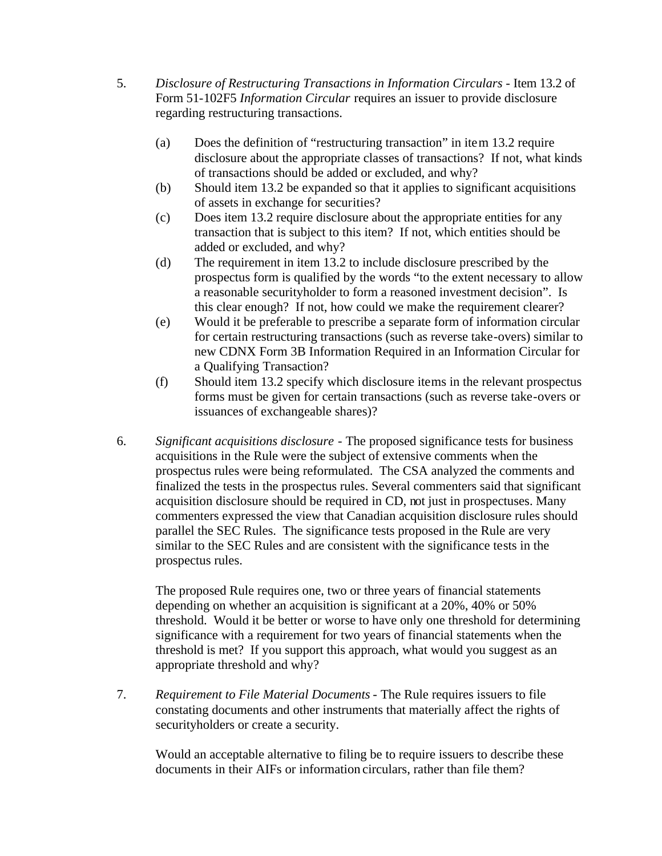- 5. *Disclosure of Restructuring Transactions in Information Circulars* Item 13.2 of Form 51-102F5 *Information Circular* requires an issuer to provide disclosure regarding restructuring transactions.
	- (a) Does the definition of "restructuring transaction" in item 13.2 require disclosure about the appropriate classes of transactions? If not, what kinds of transactions should be added or excluded, and why?
	- (b) Should item 13.2 be expanded so that it applies to significant acquisitions of assets in exchange for securities?
	- (c) Does item 13.2 require disclosure about the appropriate entities for any transaction that is subject to this item? If not, which entities should be added or excluded, and why?
	- (d) The requirement in item 13.2 to include disclosure prescribed by the prospectus form is qualified by the words "to the extent necessary to allow a reasonable securityholder to form a reasoned investment decision". Is this clear enough? If not, how could we make the requirement clearer?
	- (e) Would it be preferable to prescribe a separate form of information circular for certain restructuring transactions (such as reverse take-overs) similar to new CDNX Form 3B Information Required in an Information Circular for a Qualifying Transaction?
	- (f) Should item 13.2 specify which disclosure items in the relevant prospectus forms must be given for certain transactions (such as reverse take-overs or issuances of exchangeable shares)?
- 6. *Significant acquisitions disclosure* The proposed significance tests for business acquisitions in the Rule were the subject of extensive comments when the prospectus rules were being reformulated. The CSA analyzed the comments and finalized the tests in the prospectus rules. Several commenters said that significant acquisition disclosure should be required in CD, not just in prospectuses. Many commenters expressed the view that Canadian acquisition disclosure rules should parallel the SEC Rules. The significance tests proposed in the Rule are very similar to the SEC Rules and are consistent with the significance tests in the prospectus rules.

The proposed Rule requires one, two or three years of financial statements depending on whether an acquisition is significant at a 20%, 40% or 50% threshold. Would it be better or worse to have only one threshold for determining significance with a requirement for two years of financial statements when the threshold is met? If you support this approach, what would you suggest as an appropriate threshold and why?

7. *Requirement to File Material Documents* - The Rule requires issuers to file constating documents and other instruments that materially affect the rights of securityholders or create a security.

Would an acceptable alternative to filing be to require issuers to describe these documents in their AIFs or information circulars, rather than file them?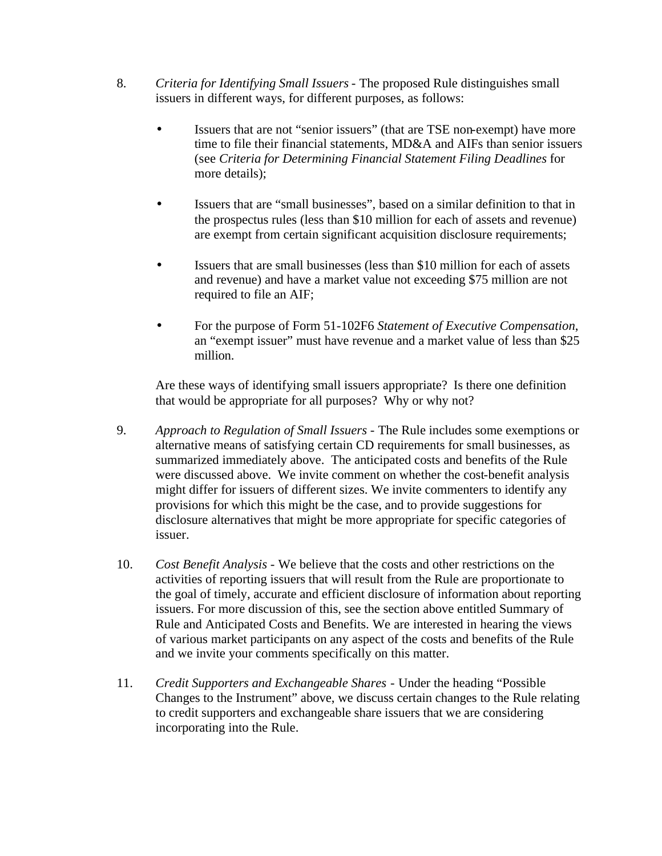- 8. *Criteria for Identifying Small Issuers* The proposed Rule distinguishes small issuers in different ways, for different purposes, as follows:
	- Issuers that are not "senior issuers" (that are TSE non-exempt) have more time to file their financial statements, MD&A and AIFs than senior issuers (see *Criteria for Determining Financial Statement Filing Deadlines* for more details);
	- Issuers that are "small businesses", based on a similar definition to that in the prospectus rules (less than \$10 million for each of assets and revenue) are exempt from certain significant acquisition disclosure requirements;
	- Issuers that are small businesses (less than \$10 million for each of assets and revenue) and have a market value not exceeding \$75 million are not required to file an AIF;
	- For the purpose of Form 51-102F6 *Statement of Executive Compensation*, an "exempt issuer" must have revenue and a market value of less than \$25 million.

Are these ways of identifying small issuers appropriate? Is there one definition that would be appropriate for all purposes? Why or why not?

- 9. *Approach to Regulation of Small Issuers* The Rule includes some exemptions or alternative means of satisfying certain CD requirements for small businesses, as summarized immediately above. The anticipated costs and benefits of the Rule were discussed above. We invite comment on whether the cost-benefit analysis might differ for issuers of different sizes. We invite commenters to identify any provisions for which this might be the case, and to provide suggestions for disclosure alternatives that might be more appropriate for specific categories of issuer.
- 10. *Cost Benefit Analysis* We believe that the costs and other restrictions on the activities of reporting issuers that will result from the Rule are proportionate to the goal of timely, accurate and efficient disclosure of information about reporting issuers. For more discussion of this, see the section above entitled Summary of Rule and Anticipated Costs and Benefits. We are interested in hearing the views of various market participants on any aspect of the costs and benefits of the Rule and we invite your comments specifically on this matter.
- 11. *Credit Supporters and Exchangeable Shares* Under the heading "Possible Changes to the Instrument" above, we discuss certain changes to the Rule relating to credit supporters and exchangeable share issuers that we are considering incorporating into the Rule.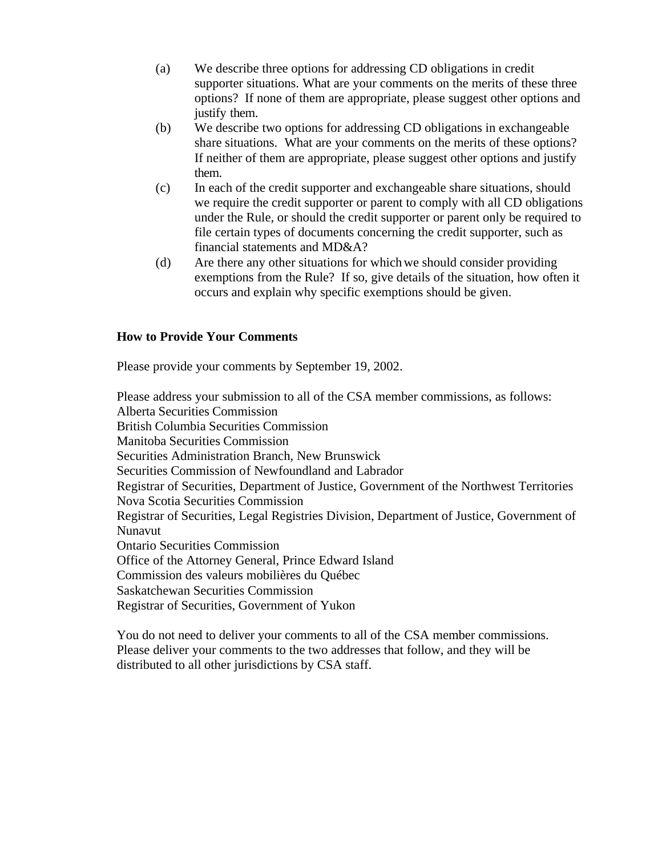- (a) We describe three options for addressing CD obligations in credit supporter situations. What are your comments on the merits of these three options? If none of them are appropriate, please suggest other options and justify them.
- (b) We describe two options for addressing CD obligations in exchangeable share situations. What are your comments on the merits of these options? If neither of them are appropriate, please suggest other options and justify them.
- (c) In each of the credit supporter and exchangeable share situations, should we require the credit supporter or parent to comply with all CD obligations under the Rule, or should the credit supporter or parent only be required to file certain types of documents concerning the credit supporter, such as financial statements and MD&A?
- (d) Are there any other situations for which we should consider providing exemptions from the Rule? If so, give details of the situation, how often it occurs and explain why specific exemptions should be given.

## **How to Provide Your Comments**

Please provide your comments by September 19, 2002.

Please address your submission to all of the CSA member commissions, as follows: Alberta Securities Commission British Columbia Securities Commission Manitoba Securities Commission Securities Administration Branch, New Brunswick Securities Commission of Newfoundland and Labrador Registrar of Securities, Department of Justice, Government of the Northwest Territories Nova Scotia Securities Commission Registrar of Securities, Legal Registries Division, Department of Justice, Government of Nunavut Ontario Securities Commission Office of the Attorney General, Prince Edward Island Commission des valeurs mobilières du Québec Saskatchewan Securities Commission Registrar of Securities, Government of Yukon

You do not need to deliver your comments to all of the CSA member commissions. Please deliver your comments to the two addresses that follow, and they will be distributed to all other jurisdictions by CSA staff.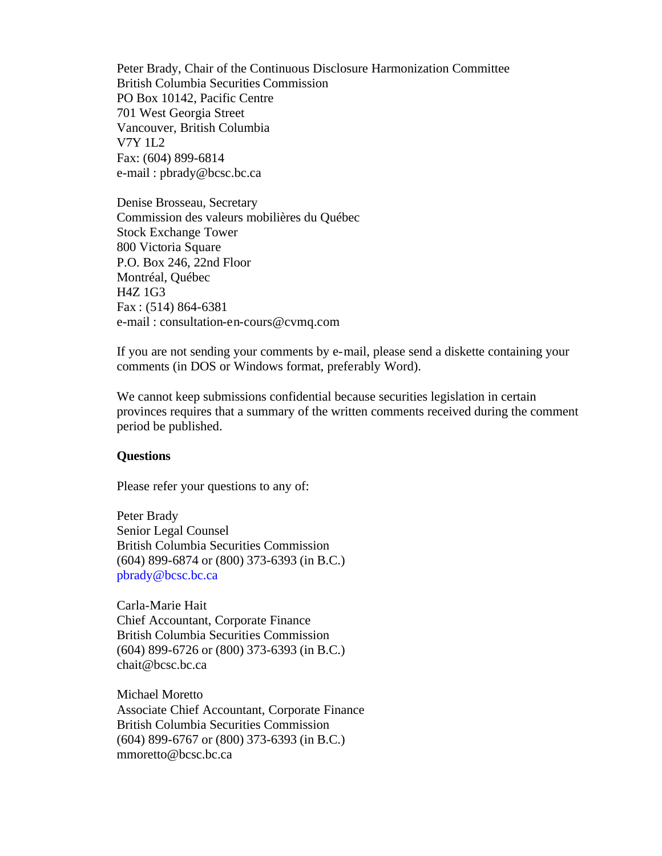Peter Brady, Chair of the Continuous Disclosure Harmonization Committee British Columbia Securities Commission PO Box 10142, Pacific Centre 701 West Georgia Street Vancouver, British Columbia V7Y 1L2 Fax: (604) 899-6814 e-mail : pbrady@bcsc.bc.ca

Denise Brosseau, Secretary Commission des valeurs mobilières du Québec Stock Exchange Tower 800 Victoria Square P.O. Box 246, 22nd Floor Montréal, Québec H4Z 1G3 Fax : (514) 864-6381 e-mail : consultation-en-cours@cvmq.com

If you are not sending your comments by e-mail, please send a diskette containing your comments (in DOS or Windows format, preferably Word).

We cannot keep submissions confidential because securities legislation in certain provinces requires that a summary of the written comments received during the comment period be published.

#### **Questions**

Please refer your questions to any of:

Peter Brady Senior Legal Counsel British Columbia Securities Commission (604) 899-6874 or (800) 373-6393 (in B.C.) pbrady@bcsc.bc.ca

Carla-Marie Hait Chief Accountant, Corporate Finance British Columbia Securities Commission (604) 899-6726 or (800) 373-6393 (in B.C.) chait@bcsc.bc.ca

Michael Moretto Associate Chief Accountant, Corporate Finance British Columbia Securities Commission (604) 899-6767 or (800) 373-6393 (in B.C.) mmoretto@bcsc.bc.ca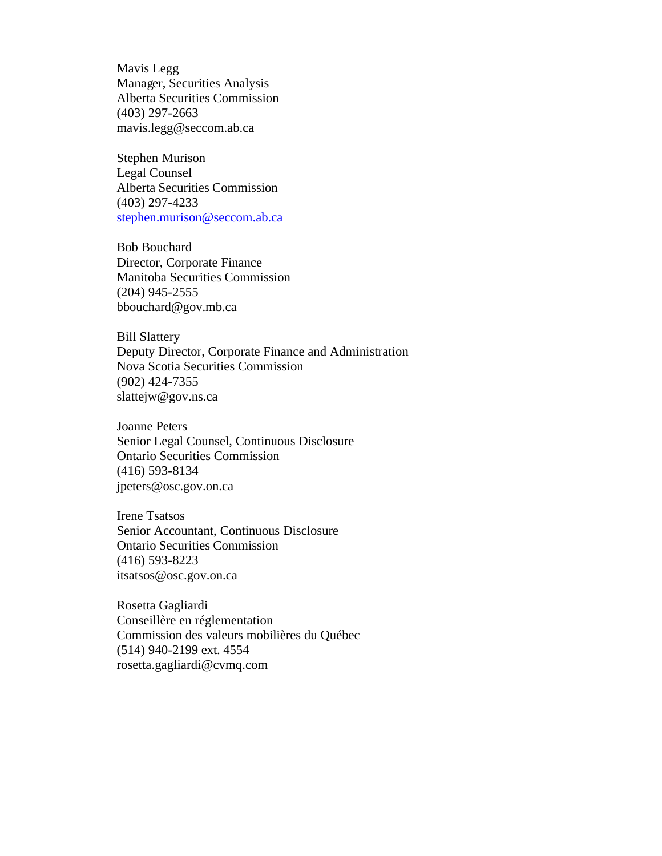Mavis Legg Manager, Securities Analysis Alberta Securities Commission (403) 297-2663 mavis.legg@seccom.ab.ca

Stephen Murison Legal Counsel Alberta Securities Commission (403) 297-4233 stephen.murison@seccom.ab.ca

Bob Bouchard Director, Corporate Finance Manitoba Securities Commission (204) 945-2555 bbouchard@gov.mb.ca

Bill Slattery Deputy Director, Corporate Finance and Administration Nova Scotia Securities Commission (902) 424-7355 slattejw@gov.ns.ca

Joanne Peters Senior Legal Counsel, Continuous Disclosure Ontario Securities Commission (416) 593-8134 jpeters@osc.gov.on.ca

Irene Tsatsos Senior Accountant, Continuous Disclosure Ontario Securities Commission (416) 593-8223 itsatsos@osc.gov.on.ca

Rosetta Gagliardi Conseillère en réglementation Commission des valeurs mobilières du Québec (514) 940-2199 ext. 4554 rosetta.gagliardi@cvmq.com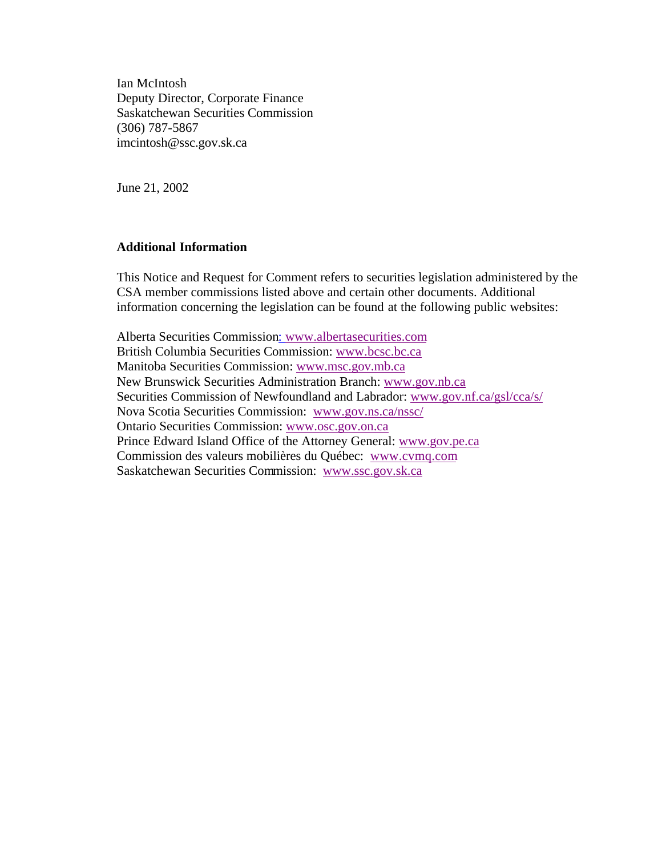Ian McIntosh Deputy Director, Corporate Finance Saskatchewan Securities Commission (306) 787-5867 imcintosh@ssc.gov.sk.ca

June 21, 2002

## **Additional Information**

This Notice and Request for Comment refers to securities legislation administered by the CSA member commissions listed above and certain other documents. Additional information concerning the legislation can be found at the following public websites:

Alberta Securities Commission: www.albertasecurities.com British Columbia Securities Commission: www.bcsc.bc.ca Manitoba Securities Commission: www.msc.gov.mb.ca New Brunswick Securities Administration Branch: www.gov.nb.ca Securities Commission of Newfoundland and Labrador: www.gov.nf.ca/gsl/cca/s/ Nova Scotia Securities Commission: www.gov.ns.ca/nssc/ Ontario Securities Commission: www.osc.gov.on.ca Prince Edward Island Office of the Attorney General: www.gov.pe.ca Commission des valeurs mobilières du Québec: www.cvmq.com Saskatchewan Securities Commission: www.ssc.gov.sk.ca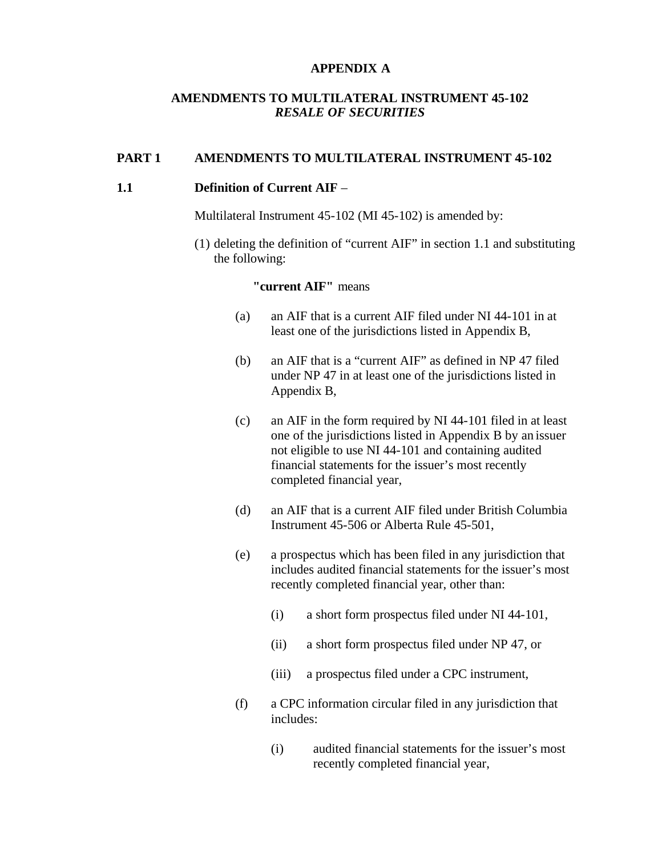#### **APPENDIX A**

## **AMENDMENTS TO MULTILATERAL INSTRUMENT 45-102** *RESALE OF SECURITIES*

#### **PART 1 AMENDMENTS TO MULTILATERAL INSTRUMENT 45-102**

#### **1.1 Definition of Current AIF** –

Multilateral Instrument 45-102 (MI 45-102) is amended by:

(1) deleting the definition of "current AIF" in section 1.1 and substituting the following:

# **"current AIF"** means

- (a) an AIF that is a current AIF filed under NI 44-101 in at least one of the jurisdictions listed in Appendix B,
- (b) an AIF that is a "current AIF" as defined in NP 47 filed under NP 47 in at least one of the jurisdictions listed in Appendix B,
- (c) an AIF in the form required by NI 44-101 filed in at least one of the jurisdictions listed in Appendix B by an issuer not eligible to use NI 44-101 and containing audited financial statements for the issuer's most recently completed financial year,
- (d) an AIF that is a current AIF filed under British Columbia Instrument 45-506 or Alberta Rule 45-501,
- (e) a prospectus which has been filed in any jurisdiction that includes audited financial statements for the issuer's most recently completed financial year, other than:
	- (i) a short form prospectus filed under NI 44-101,
	- (ii) a short form prospectus filed under NP 47, or
	- (iii) a prospectus filed under a CPC instrument,
- (f) a CPC information circular filed in any jurisdiction that includes:
	- (i) audited financial statements for the issuer's most recently completed financial year,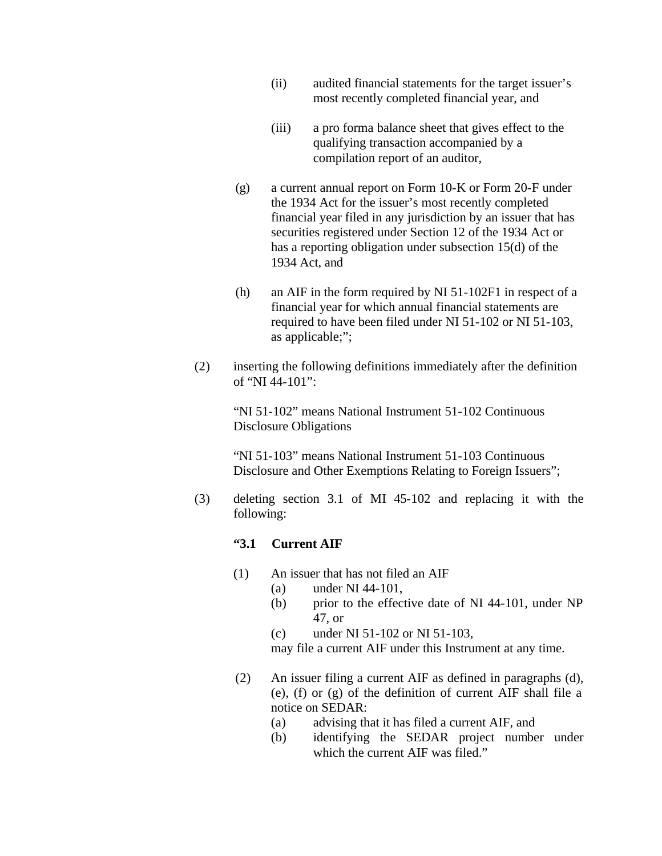- (ii) audited financial statements for the target issuer's most recently completed financial year, and
- (iii) a pro forma balance sheet that gives effect to the qualifying transaction accompanied by a compilation report of an auditor,
- (g) a current annual report on Form 10-K or Form 20-F under the 1934 Act for the issuer's most recently completed financial year filed in any jurisdiction by an issuer that has securities registered under Section 12 of the 1934 Act or has a reporting obligation under subsection 15(d) of the 1934 Act, and
- (h) an AIF in the form required by NI 51-102F1 in respect of a financial year for which annual financial statements are required to have been filed under NI 51-102 or NI 51-103, as applicable;";
- (2) inserting the following definitions immediately after the definition of "NI 44-101":

"NI 51-102" means National Instrument 51-102 Continuous Disclosure Obligations

"NI 51-103" means National Instrument 51-103 Continuous Disclosure and Other Exemptions Relating to Foreign Issuers";

(3) deleting section 3.1 of MI 45-102 and replacing it with the following:

## **"3.1 Current AIF**

- (1) An issuer that has not filed an AIF
	- (a) under NI 44-101,
	- (b) prior to the effective date of NI 44-101, under NP 47, or
	- (c) under NI 51-102 or NI 51-103,

may file a current AIF under this Instrument at any time.

- (2) An issuer filing a current AIF as defined in paragraphs (d), (e), (f) or (g) of the definition of current AIF shall file a notice on SEDAR:
	- (a) advising that it has filed a current AIF, and
	- (b) identifying the SEDAR project number under which the current AIF was filed."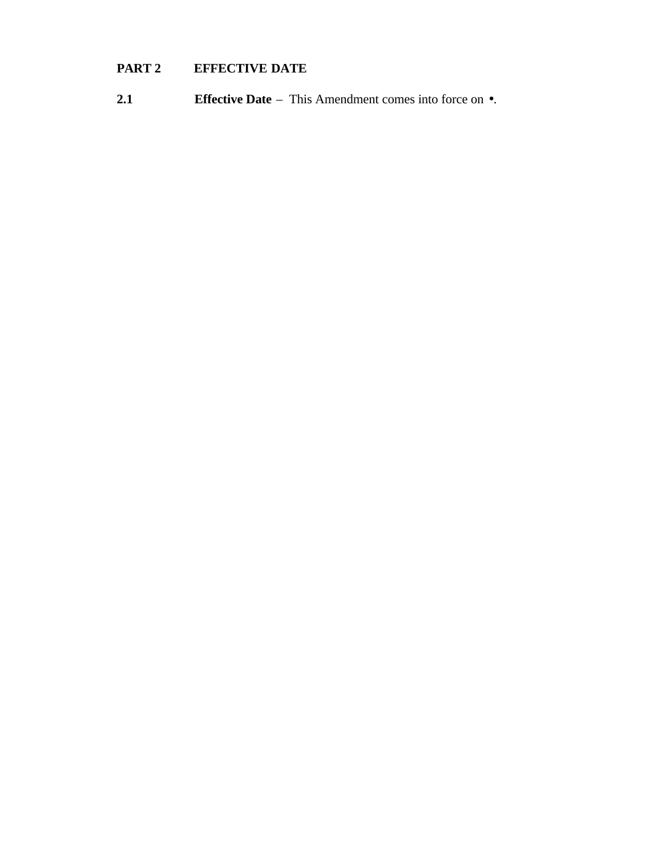# **PART 2 EFFECTIVE DATE**

**2.1 Effective Date** – This Amendment comes into force on •.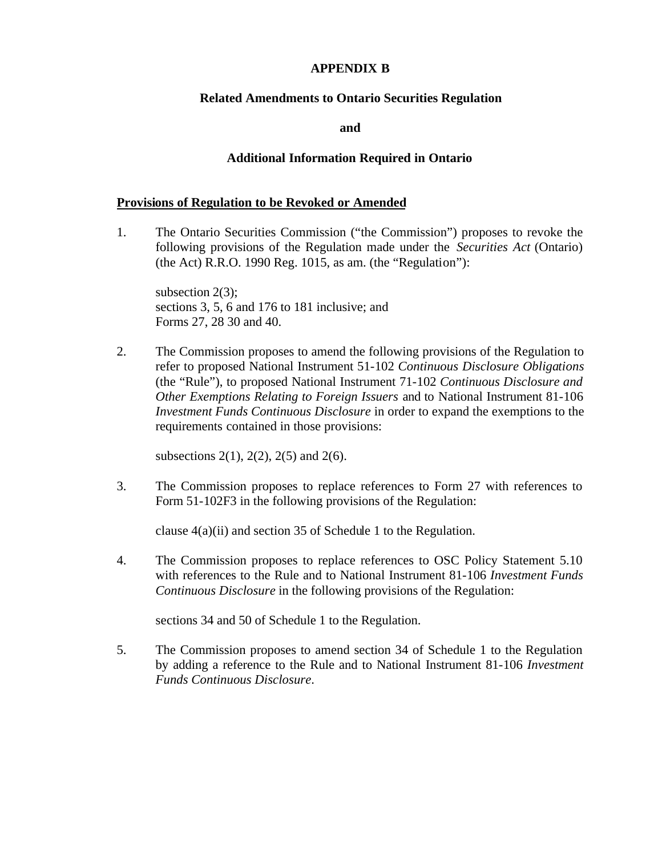### **APPENDIX B**

#### **Related Amendments to Ontario Securities Regulation**

**and**

#### **Additional Information Required in Ontario**

#### **Provisions of Regulation to be Revoked or Amended**

1. The Ontario Securities Commission ("the Commission") proposes to revoke the following provisions of the Regulation made under the *Securities Act* (Ontario) (the Act) R.R.O. 1990 Reg. 1015, as am. (the "Regulation"):

subsection 2(3); sections 3, 5, 6 and 176 to 181 inclusive; and Forms 27, 28 30 and 40.

2. The Commission proposes to amend the following provisions of the Regulation to refer to proposed National Instrument 51-102 *Continuous Disclosure Obligations* (the "Rule"), to proposed National Instrument 71-102 *Continuous Disclosure and Other Exemptions Relating to Foreign Issuers* and to National Instrument 81-106 *Investment Funds Continuous Disclosure* in order to expand the exemptions to the requirements contained in those provisions:

subsections 2(1), 2(2), 2(5) and 2(6).

3. The Commission proposes to replace references to Form 27 with references to Form 51-102F3 in the following provisions of the Regulation:

clause 4(a)(ii) and section 35 of Schedule 1 to the Regulation.

4. The Commission proposes to replace references to OSC Policy Statement 5.10 with references to the Rule and to National Instrument 81-106 *Investment Funds Continuous Disclosure* in the following provisions of the Regulation:

sections 34 and 50 of Schedule 1 to the Regulation.

5. The Commission proposes to amend section 34 of Schedule 1 to the Regulation by adding a reference to the Rule and to National Instrument 81-106 *Investment Funds Continuous Disclosure*.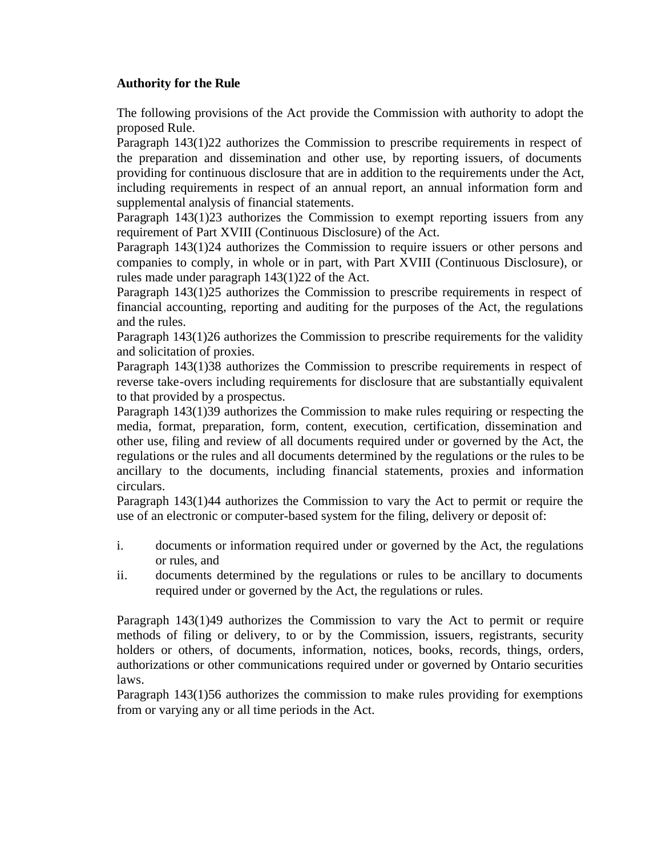# **Authority for the Rule**

The following provisions of the Act provide the Commission with authority to adopt the proposed Rule.

Paragraph 143(1)22 authorizes the Commission to prescribe requirements in respect of the preparation and dissemination and other use, by reporting issuers, of documents providing for continuous disclosure that are in addition to the requirements under the Act, including requirements in respect of an annual report, an annual information form and supplemental analysis of financial statements.

Paragraph 143(1)23 authorizes the Commission to exempt reporting issuers from any requirement of Part XVIII (Continuous Disclosure) of the Act.

Paragraph 143(1)24 authorizes the Commission to require issuers or other persons and companies to comply, in whole or in part, with Part XVIII (Continuous Disclosure), or rules made under paragraph 143(1)22 of the Act.

Paragraph 143(1)25 authorizes the Commission to prescribe requirements in respect of financial accounting, reporting and auditing for the purposes of the Act, the regulations and the rules.

Paragraph 143(1)26 authorizes the Commission to prescribe requirements for the validity and solicitation of proxies.

Paragraph 143(1)38 authorizes the Commission to prescribe requirements in respect of reverse take-overs including requirements for disclosure that are substantially equivalent to that provided by a prospectus.

Paragraph 143(1)39 authorizes the Commission to make rules requiring or respecting the media, format, preparation, form, content, execution, certification, dissemination and other use, filing and review of all documents required under or governed by the Act, the regulations or the rules and all documents determined by the regulations or the rules to be ancillary to the documents, including financial statements, proxies and information circulars.

Paragraph 143(1)44 authorizes the Commission to vary the Act to permit or require the use of an electronic or computer-based system for the filing, delivery or deposit of:

- i. documents or information required under or governed by the Act, the regulations or rules, and
- ii. documents determined by the regulations or rules to be ancillary to documents required under or governed by the Act, the regulations or rules.

Paragraph 143(1)49 authorizes the Commission to vary the Act to permit or require methods of filing or delivery, to or by the Commission, issuers, registrants, security holders or others, of documents, information, notices, books, records, things, orders, authorizations or other communications required under or governed by Ontario securities laws.

Paragraph 143(1)56 authorizes the commission to make rules providing for exemptions from or varying any or all time periods in the Act.